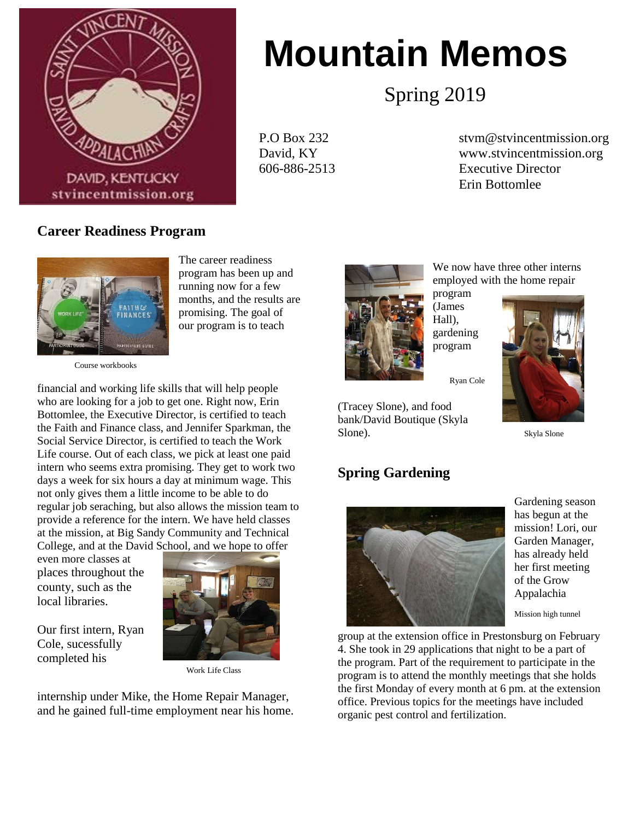

# **Mountain Memos**

Spring 2019

P.O Box 232 stvm@stvincentmission.org David, KY www.stvincentmission.org 606-886-2513 Executive Director Erin Bottomlee

## **Career Readiness Program**



The career readiness program has been up and running now for a few months, and the results are promising. The goal of our program is to teach

Course workbooks

financial and working life skills that will help people who are looking for a job to get one. Right now, Erin Bottomlee, the Executive Director, is certified to teach the Faith and Finance class, and Jennifer Sparkman, the Social Service Director, is certified to teach the Work Life course. Out of each class, we pick at least one paid intern who seems extra promising. They get to work two days a week for six hours a day at minimum wage. This not only gives them a little income to be able to do regular job seraching, but also allows the mission team to provide a reference for the intern. We have held classes at the mission, at Big Sandy Community and Technical College, and at the David School, and we hope to offer

even more classes at places throughout the county, such as the local libraries.

Our first intern, Ryan Cole, sucessfully completed his



Work Life Class

internship under Mike, the Home Repair Manager, and he gained full-time employment near his home.



We now have three other interns employed with the home repair

program (James Hall), gardening program



#### Ryan Cole

(Tracey Slone), and food bank/David Boutique (Skyla Slone). Skyla Slone

#### **Spring Gardening**



Gardening season has begun at the mission! Lori, our Garden Manager, has already held her first meeting of the Grow Appalachia

Mission high tunnel

group at the extension office in Prestonsburg on February 4. She took in 29 applications that night to be a part of the program. Part of the requirement to participate in the program is to attend the monthly meetings that she holds the first Monday of every month at 6 pm. at the extension office. Previous topics for the meetings have included organic pest control and fertilization.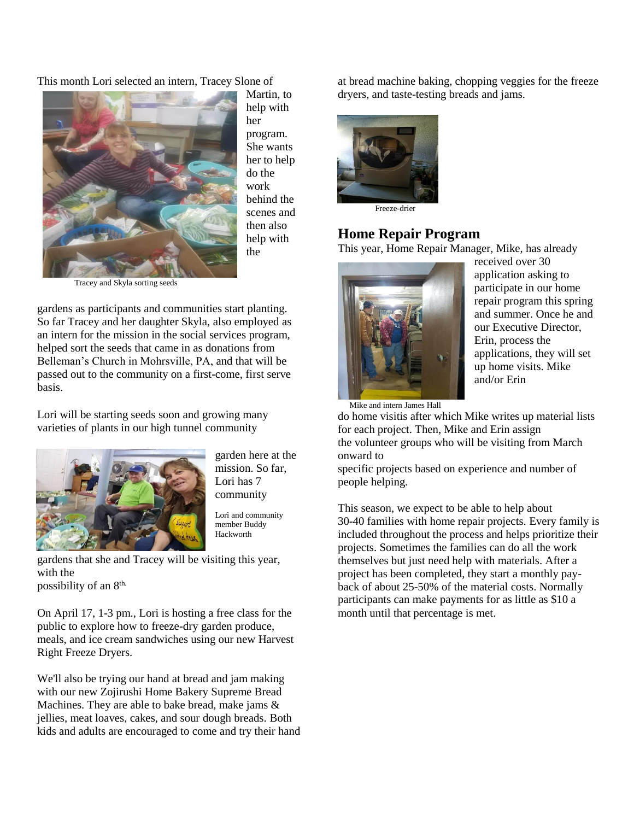This month Lori selected an intern, Tracey Slone of



Martin, to help with her program. She wants her to help do the work behind the scenes and then also help with the

Tracey and Skyla sorting seeds

gardens as participants and communities start planting. So far Tracey and her daughter Skyla, also employed as an intern for the mission in the social services program, helped sort the seeds that came in as donations from Belleman's Church in Mohrsville, PA, and that will be passed out to the community on a first-come, first serve basis.

Lori will be starting seeds soon and growing many varieties of plants in our high tunnel community



garden here at the mission. So far, Lori has 7 community

Lori and community member Buddy Hackworth

gardens that she and Tracey will be visiting this year, with the

possibility of an 8th.

On April 17, 1-3 pm., Lori is hosting a free class for the public to explore how to freeze-dry garden produce, meals, and ice cream sandwiches using our new Harvest Right Freeze Dryers.

We'll also be trying our hand at bread and jam making with our new Zojirushi Home Bakery Supreme Bread Machines. They are able to bake bread, make jams & jellies, meat loaves, cakes, and sour dough breads. Both kids and adults are encouraged to come and try their hand at bread machine baking, chopping veggies for the freeze dryers, and taste-testing breads and jams.



Freeze-drier

# **Home Repair Program**

This year, Home Repair Manager, Mike, has already



received over 30 application asking to participate in our home repair program this spring and summer. Once he and our Executive Director, Erin, process the applications, they will set up home visits. Mike and/or Erin

Mike and intern James Hall

do home visitis after which Mike writes up material lists for each project. Then, Mike and Erin assign the volunteer groups who will be visiting from March onward to

specific projects based on experience and number of people helping.

This season, we expect to be able to help about 30-40 families with home repair projects. Every family is included throughout the process and helps prioritize their projects. Sometimes the families can do all the work themselves but just need help with materials. After a project has been completed, they start a monthly payback of about 25-50% of the material costs. Normally participants can make payments for as little as \$10 a month until that percentage is met.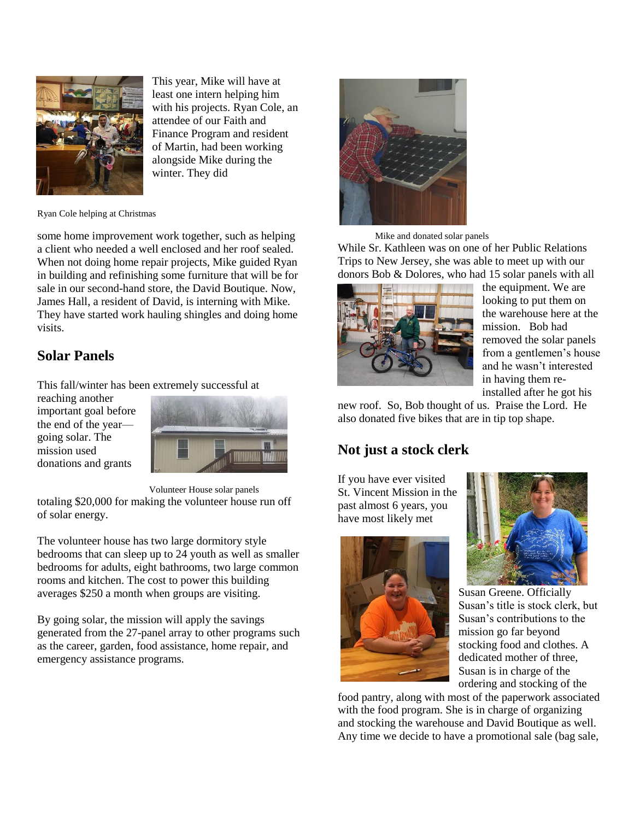

This year, Mike will have at least one intern helping him with his projects. Ryan Cole, an attendee of our Faith and Finance Program and resident of Martin, had been working alongside Mike during the winter. They did

Ryan Cole helping at Christmas

some home improvement work together, such as helping a client who needed a well enclosed and her roof sealed. When not doing home repair projects, Mike guided Ryan in building and refinishing some furniture that will be for sale in our second-hand store, the David Boutique. Now, James Hall, a resident of David, is interning with Mike. They have started work hauling shingles and doing home visits.

# **Solar Panels**

This fall/winter has been extremely successful at

reaching another important goal before the end of the year going solar. The mission used donations and grants



 Volunteer House solar panels totaling \$20,000 for making the volunteer house run off of solar energy.

The volunteer house has two large dormitory style bedrooms that can sleep up to 24 youth as well as smaller bedrooms for adults, eight bathrooms, two large common rooms and kitchen. The cost to power this building averages \$250 a month when groups are visiting.

By going solar, the mission will apply the savings generated from the 27-panel array to other programs such as the career, garden, food assistance, home repair, and emergency assistance programs.



Mike and donated solar panels

While Sr. Kathleen was on one of her Public Relations Trips to New Jersey, she was able to meet up with our donors Bob & Dolores, who had 15 solar panels with all



the equipment. We are looking to put them on the warehouse here at the mission. Bob had removed the solar panels from a gentlemen's house and he wasn't interested in having them reinstalled after he got his

new roof. So, Bob thought of us. Praise the Lord. He also donated five bikes that are in tip top shape.

# **Not just a stock clerk**

If you have ever visited St. Vincent Mission in the past almost 6 years, you have most likely met





Susan Greene. Officially Susan's title is stock clerk, but Susan's contributions to the mission go far beyond stocking food and clothes. A dedicated mother of three, Susan is in charge of the ordering and stocking of the

food pantry, along with most of the paperwork associated with the food program. She is in charge of organizing and stocking the warehouse and David Boutique as well. Any time we decide to have a promotional sale (bag sale,